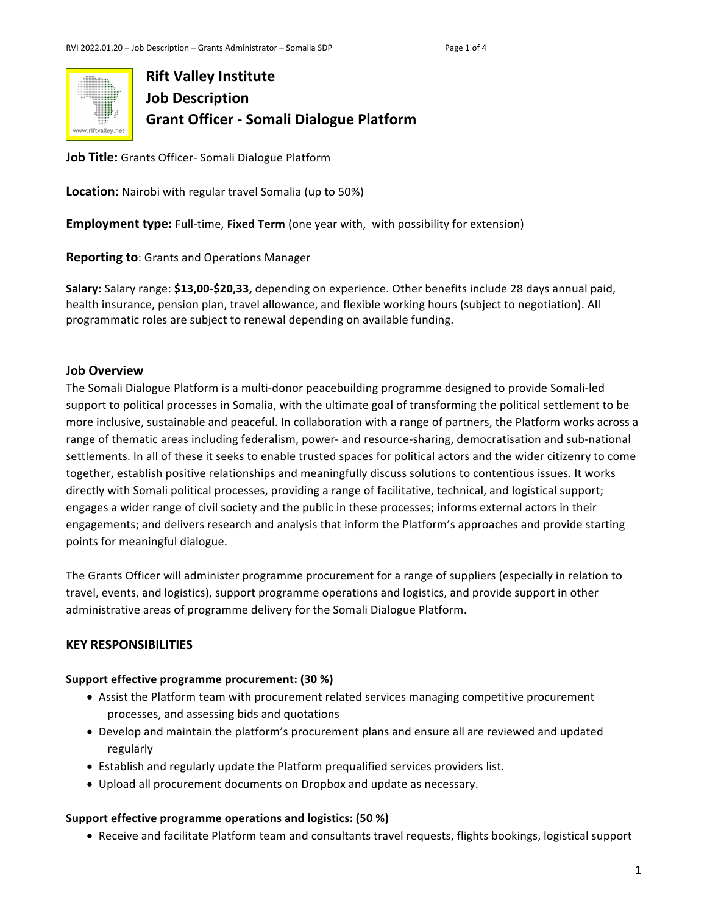

**Job Title:** Grants Officer- Somali Dialogue Platform

**Location:** Nairobi with regular travel Somalia (up to 50%)

**Employment type:** Full-time, **Fixed Term** (one year with, with possibility for extension)

**Reporting to:** Grants and Operations Manager

**Salary:** Salary range: **\$13,00-\$20,33,** depending on experience. Other benefits include 28 days annual paid, health insurance, pension plan, travel allowance, and flexible working hours (subject to negotiation). All programmatic roles are subject to renewal depending on available funding.

### **Job Overview**

The Somali Dialogue Platform is a multi-donor peacebuilding programme designed to provide Somali-led support to political processes in Somalia, with the ultimate goal of transforming the political settlement to be more inclusive, sustainable and peaceful. In collaboration with a range of partners, the Platform works across a range of thematic areas including federalism, power- and resource-sharing, democratisation and sub-national settlements. In all of these it seeks to enable trusted spaces for political actors and the wider citizenry to come together, establish positive relationships and meaningfully discuss solutions to contentious issues. It works directly with Somali political processes, providing a range of facilitative, technical, and logistical support; engages a wider range of civil society and the public in these processes; informs external actors in their engagements; and delivers research and analysis that inform the Platform's approaches and provide starting points for meaningful dialogue.

The Grants Officer will administer programme procurement for a range of suppliers (especially in relation to travel, events, and logistics), support programme operations and logistics, and provide support in other administrative areas of programme delivery for the Somali Dialogue Platform.

## **KEY RESPONSIBILITIES**

### **Support effective programme procurement: (30 %)**

- Assist the Platform team with procurement related services managing competitive procurement processes, and assessing bids and quotations
- Develop and maintain the platform's procurement plans and ensure all are reviewed and updated regularly
- Establish and regularly update the Platform prequalified services providers list.
- Upload all procurement documents on Dropbox and update as necessary.

### **Support effective programme operations and logistics: (50 %)**

• Receive and facilitate Platform team and consultants travel requests, flights bookings, logistical support